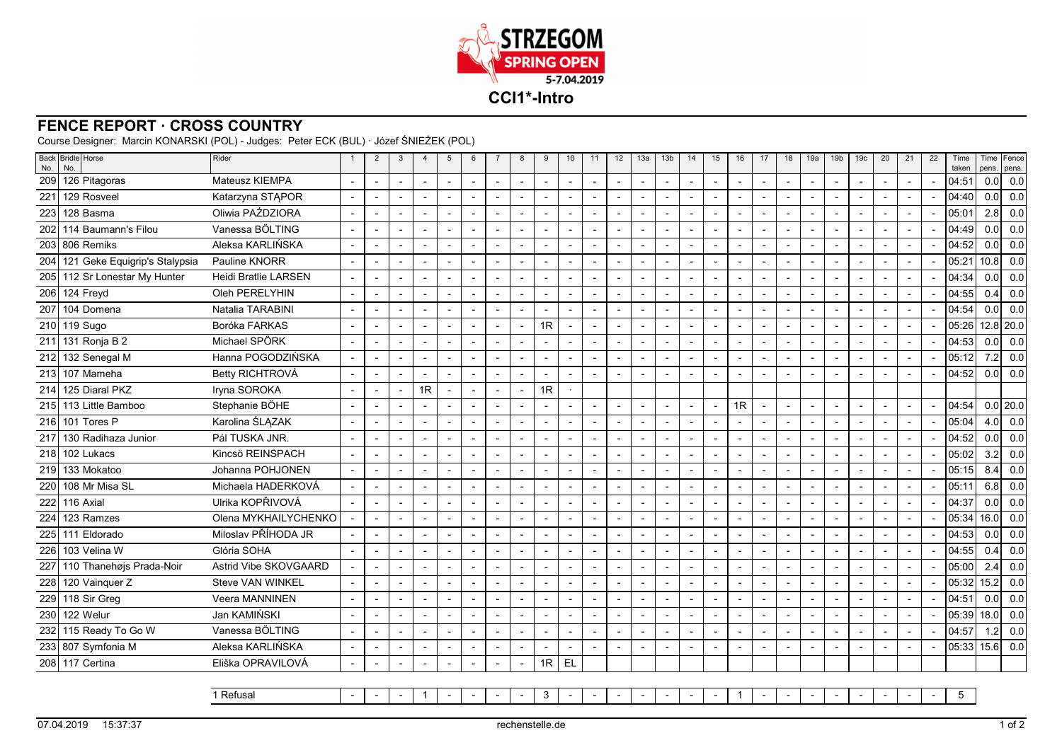

## **FENCE REPORT · CROSS COUNTRY**

Course Designer: Marcin KONARSKI (POL) - Judges: Peter ECK (BUL) · Józef ŚNIEŻEK (POL)

| No. | Back Bridle Horse<br>No.          | Rider                       | $\overline{2}$           | 3                        | $\overline{4}$ | 5                        | 6                        | $\overline{7}$           | 8                        | 9                        | 10                       | 11                       | 12 | 13a                      | 13 <sub>b</sub>          | 14 | 15                       | 16                       | 17 | 18                       | 19a                      | 19 <sub>b</sub> | 19 <sub>c</sub>          | 20                       | 21 | 22 | Time<br>taken | pens.   | Time Fence<br>pens. |
|-----|-----------------------------------|-----------------------------|--------------------------|--------------------------|----------------|--------------------------|--------------------------|--------------------------|--------------------------|--------------------------|--------------------------|--------------------------|----|--------------------------|--------------------------|----|--------------------------|--------------------------|----|--------------------------|--------------------------|-----------------|--------------------------|--------------------------|----|----|---------------|---------|---------------------|
|     | 209 126 Pitagoras                 | Mateusz KIEMPA              | $\overline{\phantom{a}}$ |                          |                | $\sim$                   | $\sim$                   | $\blacksquare$           | $\blacksquare$           |                          |                          | $\blacksquare$           |    |                          | $\blacksquare$           |    | $\blacksquare$           | $\sim$                   |    | $\blacksquare$           | $\sim$                   |                 | $\overline{\phantom{a}}$ | $\blacksquare$           |    |    | 04:51         | 0.0     | 0.0                 |
| 221 | 129 Rosveel                       | Katarzyna STAPOR            | $\blacksquare$           |                          |                | $\blacksquare$           |                          | $\overline{\phantom{a}}$ | $\blacksquare$           |                          |                          |                          |    | $\overline{\phantom{a}}$ | $\blacksquare$           |    | $\overline{\phantom{a}}$ | $\overline{\phantom{a}}$ |    | $\blacksquare$           | $\overline{\phantom{a}}$ |                 |                          | $\blacksquare$           |    |    | 04:40         | 0.0     | 0.0                 |
|     | 223 128 Basma                     | Oliwia PAŹDZIORA            | $\overline{\phantom{a}}$ |                          | L,             | $\blacksquare$           | $\blacksquare$           |                          | Ĭ.                       |                          | $\blacksquare$           | $\blacksquare$           |    | Ĭ.                       | $\overline{\phantom{a}}$ |    | $\overline{\phantom{a}}$ | $\sim$                   |    | $\overline{\phantom{a}}$ | $\blacksquare$           |                 | $\overline{\phantom{a}}$ | $\blacksquare$           |    |    | 05:01         | 2.8     | 0.0                 |
|     | 202 114 Baumann's Filou           | Vanessa BÖLTING             | $\overline{\phantom{a}}$ |                          |                | $\overline{\phantom{a}}$ | $\overline{\phantom{a}}$ | $\blacksquare$           | $\overline{\phantom{a}}$ |                          |                          | $\blacksquare$           |    | $\blacksquare$           | $\overline{\phantom{a}}$ |    | $\blacksquare$           | $\blacksquare$           |    | $\blacksquare$           | $\blacksquare$           |                 |                          | $\blacksquare$           |    |    | 04:49         | 0.0     | 0.0                 |
| 203 | 806 Remiks                        | Aleksa KARLIŃSKA            | $\overline{\phantom{a}}$ |                          |                | $\overline{\phantom{a}}$ | $\overline{a}$           |                          | $\blacksquare$           |                          |                          |                          |    |                          |                          |    | $\overline{\phantom{a}}$ | $\overline{\phantom{a}}$ |    | $\overline{\phantom{a}}$ | $\overline{\phantom{a}}$ |                 | $\blacksquare$           | $\blacksquare$           |    |    | 04:52         | $0.0\,$ | 0.0                 |
|     | 204 121 Geke Equigrip's Stalypsia | Pauline KNORR               |                          |                          |                | $\overline{\phantom{a}}$ |                          |                          |                          |                          |                          |                          |    |                          |                          |    |                          | $\overline{a}$           |    | $\overline{a}$           | $\overline{a}$           |                 |                          |                          |    |    | 05:21         | 10.8    | 0.0                 |
|     | 205 112 Sr Lonestar My Hunter     | <b>Heidi Bratlie LARSEN</b> | $\blacksquare$           |                          |                | $\sim$                   |                          |                          | $\sim$                   |                          | $\blacksquare$           | $\overline{\phantom{a}}$ |    |                          | $\blacksquare$           |    | $\overline{\phantom{a}}$ | $\sim$                   |    | $\blacksquare$           | $\overline{\phantom{a}}$ |                 | $\overline{\phantom{a}}$ | $\overline{\phantom{a}}$ |    |    | 04:34         | $0.0\,$ | 0.0                 |
|     | 206 124 Freyd                     | Oleh PERELYHIN              |                          |                          |                | $\overline{a}$           | $\overline{\phantom{a}}$ | $\overline{a}$           | $\overline{a}$           |                          |                          |                          |    |                          |                          |    |                          | $\overline{a}$           |    | $\overline{\phantom{a}}$ | $\overline{a}$           |                 |                          |                          |    |    | 04:55         | 0.4     | 0.0                 |
| 207 | 104 Domena                        | Natalia TARABINI            |                          |                          |                | $\overline{\phantom{a}}$ |                          |                          |                          |                          |                          |                          |    |                          |                          |    |                          | $\overline{\phantom{a}}$ |    | $\overline{\phantom{a}}$ | $\overline{\phantom{a}}$ |                 |                          |                          |    |    | 04:54         | 0.0     | 0.0                 |
|     | 210 119 Sugo                      | Boróka FARKAS               |                          |                          | L,             | $\blacksquare$           | $\overline{a}$           |                          | Ĭ.                       | 1R                       | $\sim$                   | $\overline{a}$           |    | L,                       | $\overline{\phantom{a}}$ |    | $\overline{a}$           | $\sim$                   |    | $\overline{\phantom{a}}$ | $\blacksquare$           |                 | $\blacksquare$           | $\overline{a}$           |    |    | 05:26         |         | 12.8 20.0           |
|     | 211 131 Ronja B 2                 | Michael SPÖRK               | $\overline{\phantom{a}}$ |                          |                | $\blacksquare$           | $\blacksquare$           | $\overline{\phantom{a}}$ |                          |                          |                          | $\blacksquare$           |    | $\overline{\phantom{a}}$ | $\blacksquare$           |    | $\blacksquare$           | $\sim$                   |    | $\blacksquare$           | $\overline{\phantom{a}}$ |                 | $\overline{\phantom{a}}$ | $\blacksquare$           |    |    | 04:53         | 0.0     | 0.0                 |
| 212 | 132 Senegal M                     | Hanna POGODZIŃSKA           | $\overline{\phantom{a}}$ |                          |                | $\blacksquare$           | $\blacksquare$           |                          |                          |                          | ٠                        |                          |    |                          |                          |    |                          | $\blacksquare$           |    | $\overline{a}$           | $\blacksquare$           |                 |                          | $\blacksquare$           |    |    | 05:12         | 7.2     | 0.0                 |
|     | 213 107 Mameha                    | Betty RICHTROVÁ             |                          |                          |                | $\blacksquare$           |                          |                          |                          |                          |                          |                          |    |                          |                          |    |                          | $\blacksquare$           |    | $\overline{\phantom{a}}$ | $\blacksquare$           |                 |                          |                          |    |    | 04:52         | 0.0     | 0.0                 |
| 214 | 125 Diaral PKZ                    | Iryna SOROKA                | $\overline{a}$           |                          | 1 <sub>R</sub> | $\blacksquare$           | $\sim$                   |                          | $\blacksquare$           | 1R                       |                          |                          |    |                          |                          |    |                          |                          |    |                          |                          |                 |                          |                          |    |    |               |         |                     |
|     | 215 113 Little Bamboo             | Stephanie BÖHE              |                          |                          |                | $\overline{\phantom{a}}$ | $\overline{\phantom{a}}$ | $\overline{a}$           |                          |                          |                          | $\overline{\phantom{a}}$ |    | $\overline{\phantom{0}}$ | $\overline{a}$           |    | $\overline{a}$           | 1R                       |    | $\blacksquare$           | $\overline{\phantom{a}}$ |                 |                          | $\overline{a}$           |    |    | 04:54         |         | $0.0$ 20.0          |
|     | 216 101 Tores P                   | Karolina ŚLĄZAK             | $\overline{\phantom{a}}$ |                          |                | $\blacksquare$           |                          |                          | $\overline{\phantom{a}}$ |                          |                          |                          |    | $\overline{\phantom{a}}$ | $\blacksquare$           |    | $\overline{a}$           | $\overline{\phantom{a}}$ |    | $\overline{\phantom{a}}$ | $\overline{\phantom{a}}$ |                 | $\overline{a}$           | $\blacksquare$           |    |    | 05:04         | 4.0     | 0.0                 |
| 217 | 130 Radihaza Junior               | Pál TUSKA JNR.              |                          |                          |                | $\sim$                   | $\sim$                   |                          | $\overline{a}$           |                          | $\overline{a}$           | $\overline{a}$           |    |                          |                          |    | $\overline{a}$           | $\overline{a}$           |    | $\overline{a}$           | $\overline{a}$           |                 | $\overline{a}$           | $\overline{a}$           |    |    | 04:52         | 0.0     | 0.0                 |
|     | 218 102 Lukacs                    | Kincsö REINSPACH            | $\blacksquare$           |                          |                | $\blacksquare$           |                          |                          | $\overline{\phantom{a}}$ |                          |                          | $\overline{\phantom{a}}$ |    |                          | $\overline{\phantom{a}}$ |    | $\overline{\phantom{a}}$ | $\blacksquare$           |    | $\blacksquare$           | $\overline{\phantom{a}}$ |                 | $\overline{\phantom{a}}$ | $\blacksquare$           |    |    | 05:02         | 3.2     | 0.0                 |
| 219 | 133 Mokatoo                       | Johanna POHJONEN            | $\overline{\phantom{a}}$ |                          |                | $\sim$                   | $\sim$                   |                          | ÷,                       |                          |                          | $\overline{a}$           |    |                          | $\overline{\phantom{a}}$ |    |                          | $\overline{a}$           |    | $\overline{a}$           | $\blacksquare$           |                 |                          | $\overline{a}$           |    |    | 05:15         | 8.4     | 0.0                 |
| 220 | I 108 Mr Misa SL                  | Michaela HADERKOVÁ          | $\overline{\phantom{a}}$ |                          |                | $\blacksquare$           |                          |                          | $\blacksquare$           |                          | $\overline{a}$           |                          |    | $\overline{\phantom{0}}$ |                          |    | $\overline{a}$           | $\blacksquare$           |    | $\overline{\phantom{a}}$ | $\overline{\phantom{a}}$ |                 |                          |                          |    |    | 05:11         | 6.8     | 0.0                 |
| 222 | 116 Axial                         | Ulrika KOPŘIVOVÁ            |                          |                          |                | $\sim$                   | $\blacksquare$           |                          | $\blacksquare$           |                          | $\overline{a}$           | $\blacksquare$           |    |                          |                          |    | $\overline{\phantom{a}}$ | $\sim$                   |    | $\overline{\phantom{a}}$ | $\overline{\phantom{a}}$ |                 | $\overline{\phantom{a}}$ | $\blacksquare$           |    |    | 04:37         | $0.0\,$ | 0.0                 |
|     | 224 123 Ramzes                    | Olena MYKHAILYCHENKO        |                          |                          |                | $\overline{\phantom{a}}$ | $\overline{\phantom{a}}$ | $\overline{\phantom{a}}$ | $\overline{\phantom{a}}$ |                          |                          | $\blacksquare$           |    | ۰                        | $\overline{\phantom{a}}$ |    | $\blacksquare$           | $\overline{\phantom{a}}$ |    | $\overline{\phantom{a}}$ | $\blacksquare$           |                 | $\blacksquare$           | $\blacksquare$           |    |    | 05:34         | 16.0    | 0.0                 |
| 225 | 111 Eldorado                      | Miloslav PŘÍHODA JR         | $\blacksquare$           |                          |                | $\overline{\phantom{a}}$ |                          |                          | $\overline{\phantom{a}}$ |                          |                          |                          |    |                          | $\blacksquare$           |    | ÷                        | $\blacksquare$           |    | ÷,                       | $\overline{\phantom{a}}$ |                 |                          |                          |    |    | 04:53         | 0.0     | 0.0                 |
|     | 226 103 Velina W                  | Glória SOHA                 | $\overline{\phantom{a}}$ |                          |                | $\blacksquare$           | $\overline{\phantom{a}}$ |                          | $\overline{a}$           |                          | Ē,                       | $\overline{a}$           |    |                          | $\overline{a}$           |    | $\overline{\phantom{a}}$ | $\blacksquare$           |    | $\overline{\phantom{a}}$ | $\overline{\phantom{a}}$ |                 | $\blacksquare$           | $\overline{a}$           |    |    | 04:55         | 0.4     | 0.0                 |
|     | 227 110 Thanehøjs Prada-Noir      | Astrid Vibe SKOVGAARD       | $\overline{\phantom{a}}$ |                          |                | $\overline{\phantom{a}}$ |                          | $\overline{\phantom{a}}$ | $\blacksquare$           |                          | $\overline{\phantom{a}}$ | $\overline{\phantom{a}}$ |    | $\overline{\phantom{a}}$ | $\blacksquare$           |    | $\overline{\phantom{a}}$ | $\sim$                   |    | $\overline{\phantom{a}}$ | $\overline{\phantom{a}}$ |                 | $\overline{\phantom{a}}$ | $\blacksquare$           |    |    | 05:00         | 2.4     | 0.0                 |
|     | 228 120 Vainquer Z                | <b>Steve VAN WINKEL</b>     | $\overline{\phantom{a}}$ |                          |                | $\overline{\phantom{a}}$ |                          |                          | $\overline{a}$           |                          |                          | $\overline{a}$           |    |                          |                          |    |                          | $\overline{a}$           |    |                          | $\overline{a}$           |                 |                          |                          |    |    | 05:32         | 15.2    | 0.0                 |
|     | 229 118 Sir Greg                  | Veera MANNINEN              |                          |                          |                | $\overline{\phantom{a}}$ |                          |                          | $\overline{\phantom{a}}$ |                          |                          |                          |    |                          |                          |    |                          | $\blacksquare$           |    | $\overline{\phantom{a}}$ | $\overline{\phantom{a}}$ |                 |                          |                          |    |    | 04:51         | 0.0     | 0.0                 |
|     | 230 122 Welur                     | Jan KAMIŃSKI                |                          |                          |                | $\sim$                   | $\overline{a}$           | $\overline{a}$           | $\overline{\phantom{a}}$ | $\overline{\phantom{0}}$ | $\overline{a}$           | $\blacksquare$           |    |                          | $\overline{\phantom{a}}$ |    | $\overline{\phantom{a}}$ | $\sim$                   |    | $\overline{\phantom{a}}$ | $\sim$                   |                 | $\overline{\phantom{a}}$ | $\sim$                   |    |    | 05:39         | 18.0    | 0.0                 |
|     | 232 115 Ready To Go W             | Vanessa BÖLTING             | $\overline{\phantom{a}}$ | $\overline{\phantom{a}}$ |                | $\blacksquare$           | $\overline{\phantom{a}}$ | $\overline{\phantom{a}}$ | $\blacksquare$           |                          | $\overline{\phantom{a}}$ | $\overline{\phantom{a}}$ |    | $\overline{\phantom{a}}$ | $\blacksquare$           |    | $\overline{\phantom{a}}$ | $\blacksquare$           |    | $\blacksquare$           | $\overline{\phantom{a}}$ |                 | $\overline{\phantom{a}}$ | $\blacksquare$           |    |    | 04:57         | 1.2     | 0.0                 |
|     | 233 807 Symfonia M                | Aleksa KARLIŃSKA            | $\overline{\phantom{a}}$ |                          |                | $\overline{\phantom{a}}$ |                          |                          | $\overline{\phantom{a}}$ |                          | $\blacksquare$           |                          |    | $\blacksquare$           | $\blacksquare$           |    | $\overline{\phantom{a}}$ | $\blacksquare$           |    | $\blacksquare$           | $\overline{\phantom{a}}$ |                 | $\blacksquare$           | $\overline{a}$           |    |    | 05:33         | 15.6    | 0.0                 |
|     | 208 117 Certina                   | Eliška OPRAVILOVÁ           | $\blacksquare$           | $\overline{\phantom{a}}$ |                | $\blacksquare$           |                          |                          |                          | 1R                       | EL                       |                          |    |                          |                          |    |                          |                          |    |                          |                          |                 |                          |                          |    |    |               |         |                     |

1 Refusal - $1$ - - - - <sup>3</sup> - - - - - - - <sup>1</sup> - - - - - - - - <sup>5</sup>